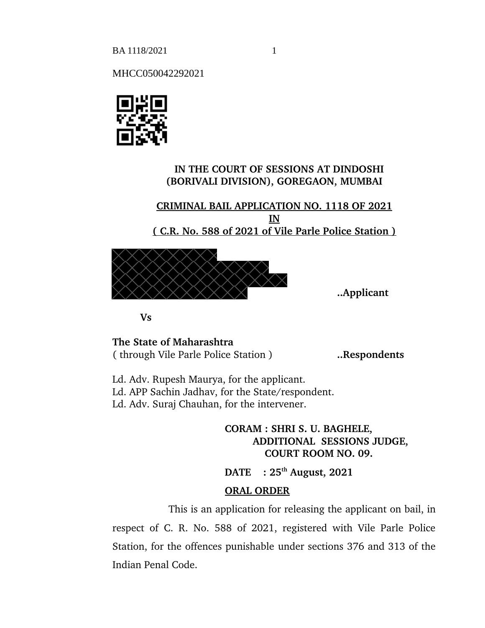BA 1118/2021 1

MHCC050042292021



## **IN THE COURT OF SESSIONS AT DINDOSHI (BORIVALI DIVISION), GOREGAON, MUMBAI**

**CRIMINAL BAIL APPLICATION NO. 1118 OF 2021 IN ( C.R. No. 588 of 2021 of Vile Parle Police Station )**



**..Applicant**

**Vs**

**The State of Maharashtra** ( through Vile Parle Police Station ) **..Respondents** 

Ld. Adv. Rupesh Maurya, for the applicant. Ld. APP Sachin Jadhav, for the State/respondent. Ld. Adv. Suraj Chauhan, for the intervener.

> **CORAM : SHRI S. U. BAGHELE, ADDITIONAL SESSIONS JUDGE, COURT ROOM NO. 09.**

**DATE : 25th August, 2021**

## **ORAL ORDER**

This is an application for releasing the applicant on bail, in respect of C. R. No. 588 of 2021, registered with Vile Parle Police Station, for the offences punishable under sections 376 and 313 of the Indian Penal Code.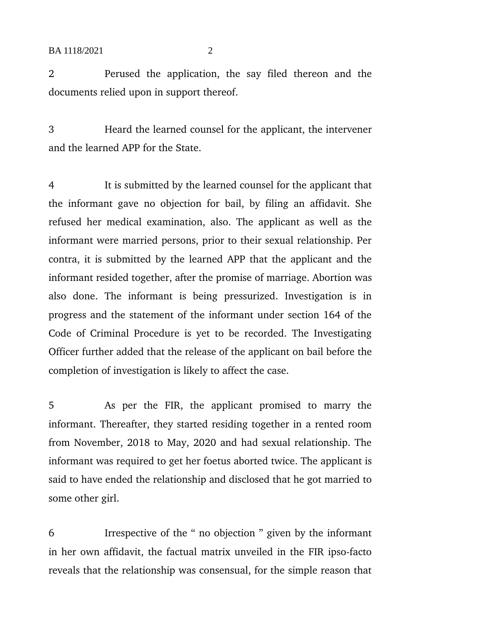2 Perused the application, the say filed thereon and the documents relied upon in support thereof.

3 Heard the learned counsel for the applicant, the intervener and the learned APP for the State.

4 It is submitted by the learned counsel for the applicant that the informant gave no objection for bail, by filing an affidavit. She refused her medical examination, also. The applicant as well as the informant were married persons, prior to their sexual relationship. Per contra, it is submitted by the learned APP that the applicant and the informant resided together, after the promise of marriage. Abortion was also done. The informant is being pressurized. Investigation is in progress and the statement of the informant under section 164 of the Code of Criminal Procedure is yet to be recorded. The Investigating Officer further added that the release of the applicant on bail before the completion of investigation is likely to affect the case.

5 As per the FIR, the applicant promised to marry the informant. Thereafter, they started residing together in a rented room from November, 2018 to May, 2020 and had sexual relationship. The informant was required to get her foetus aborted twice. The applicant is said to have ended the relationship and disclosed that he got married to some other girl.

6 Irrespective of the " no objection " given by the informant in her own affidavit, the factual matrix unveiled in the FIR ipso-facto reveals that the relationship was consensual, for the simple reason that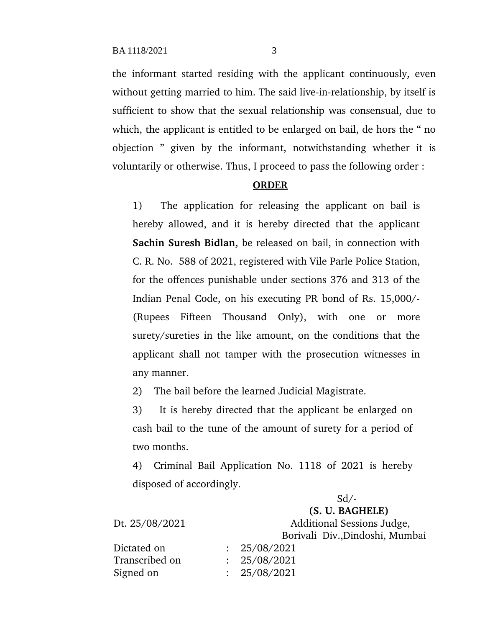the informant started residing with the applicant continuously, even without getting married to him. The said live-in-relationship, by itself is sufficient to show that the sexual relationship was consensual, due to which, the applicant is entitled to be enlarged on bail, de hors the " no objection " given by the informant, notwithstanding whether it is voluntarily or otherwise. Thus, I proceed to pass the following order :

## **ORDER**

1) The application for releasing the applicant on bail is hereby allowed, and it is hereby directed that the applicant **Sachin Suresh Bidlan,** be released on bail, in connection with C. R. No. 588 of 2021, registered with Vile Parle Police Station, for the offences punishable under sections 376 and 313 of the Indian Penal Code, on his executing PR bond of Rs. 15,000/- (Rupees Fifteen Thousand Only), with one or more surety/sureties in the like amount, on the conditions that the applicant shall not tamper with the prosecution witnesses in any manner.

2) The bail before the learned Judicial Magistrate.

3) It is hereby directed that the applicant be enlarged on cash bail to the tune of the amount of surety for a period of two months.

4) Criminal Bail Application No. 1118 of 2021 is hereby disposed of accordingly.

| (S. U. BAGHELE)                 |
|---------------------------------|
| Additional Sessions Judge,      |
| Borivali Div., Dindoshi, Mumbai |
|                                 |
|                                 |
|                                 |
|                                 |